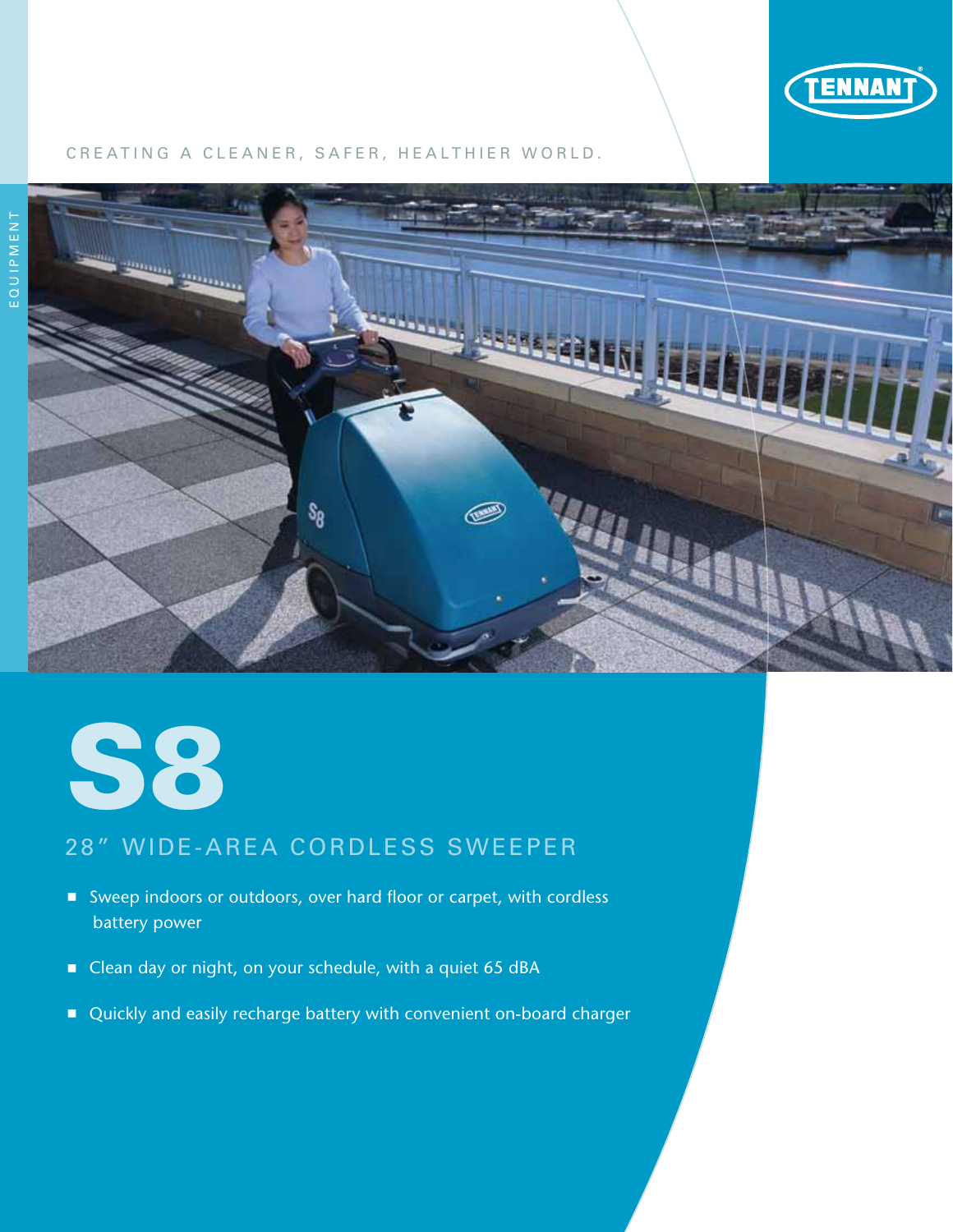

### CREATING A CLEANER, SAFER, HEALTHIER WORLD.





# 28" WIDE-AREA CORDLESS SWEEPER

- Sweep indoors or outdoors, over hard floor or carpet, with cordless battery power
- Clean day or night, on your schedule, with a quiet 65 dBA
- Quickly and easily recharge battery with convenient on-board charger